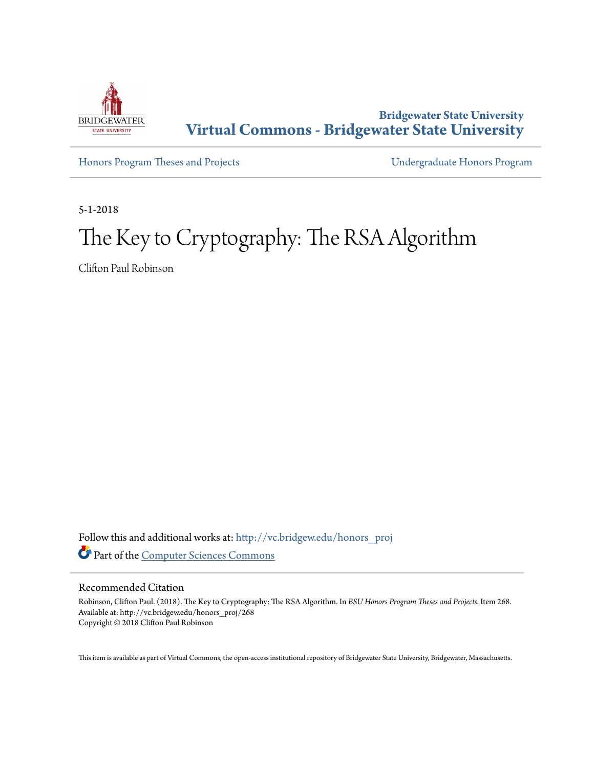

**Bridgewater State University [Virtual Commons - Bridgewater State University](http://vc.bridgew.edu?utm_source=vc.bridgew.edu%2Fhonors_proj%2F268&utm_medium=PDF&utm_campaign=PDFCoverPages)**

[Honors Program Theses and Projects](http://vc.bridgew.edu/honors_proj?utm_source=vc.bridgew.edu%2Fhonors_proj%2F268&utm_medium=PDF&utm_campaign=PDFCoverPages) [Undergraduate Honors Program](http://vc.bridgew.edu/honors?utm_source=vc.bridgew.edu%2Fhonors_proj%2F268&utm_medium=PDF&utm_campaign=PDFCoverPages)

5-1-2018

## The Key to Cryptography: The RSA Algorithm

Clifton Paul Robinson

Follow this and additional works at: [http://vc.bridgew.edu/honors\\_proj](http://vc.bridgew.edu/honors_proj?utm_source=vc.bridgew.edu%2Fhonors_proj%2F268&utm_medium=PDF&utm_campaign=PDFCoverPages) Part of the [Computer Sciences Commons](http://network.bepress.com/hgg/discipline/142?utm_source=vc.bridgew.edu%2Fhonors_proj%2F268&utm_medium=PDF&utm_campaign=PDFCoverPages)

#### Recommended Citation

Robinson, Clifton Paul. (2018). The Key to Cryptography: The RSA Algorithm. In *BSU Honors Program Theses and Projects.* Item 268. Available at: http://vc.bridgew.edu/honors\_proj/268 Copyright © 2018 Clifton Paul Robinson

This item is available as part of Virtual Commons, the open-access institutional repository of Bridgewater State University, Bridgewater, Massachusetts.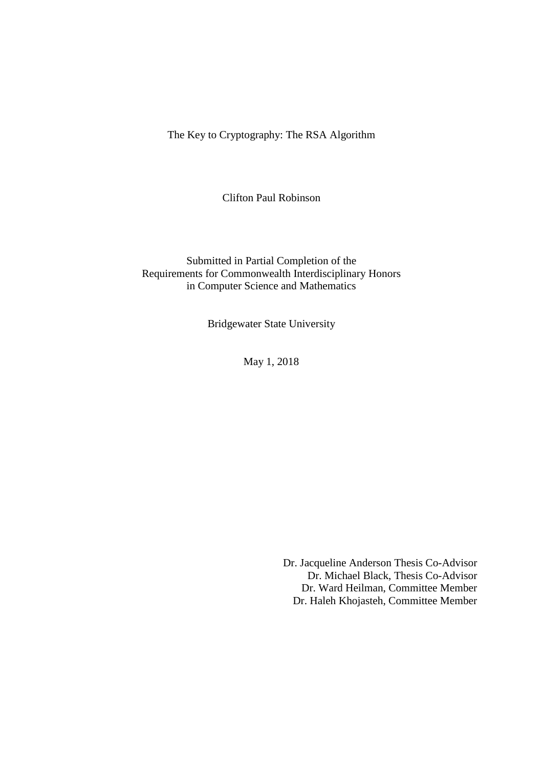The Key to Cryptography: The RSA Algorithm

Clifton Paul Robinson

Submitted in Partial Completion of the Requirements for Commonwealth Interdisciplinary Honors in Computer Science and Mathematics

Bridgewater State University

May 1, 2018

Dr. Jacqueline Anderson Thesis Co-Advisor Dr. Michael Black, Thesis Co-Advisor Dr. Ward Heilman, Committee Member Dr. Haleh Khojasteh, Committee Member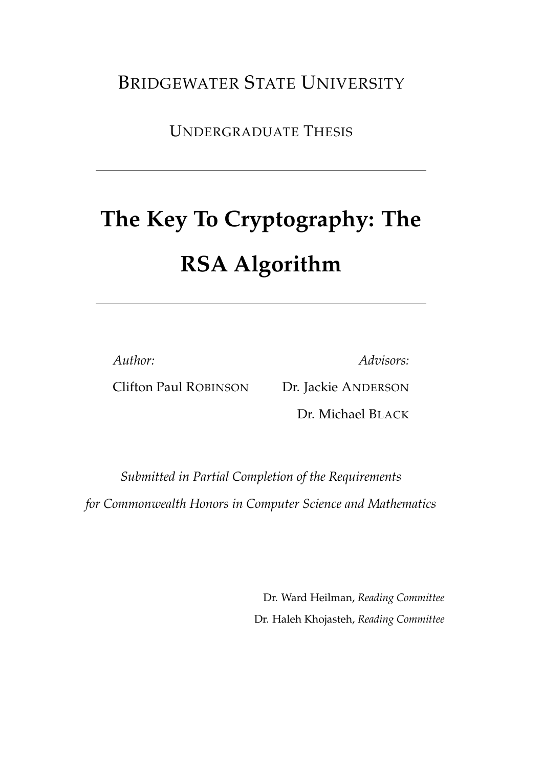## BRIDGEWATER STATE UNIVERSITY

UNDERGRADUATE THESIS

# **The Key To Cryptography: The RSA Algorithm**

*Author:*

*Advisors:*

Clifton Paul ROBINSON

Dr. Jackie ANDERSON

Dr. Michael BLACK

*Submitted in Partial Completion of the Requirements for Commonwealth Honors in Computer Science and Mathematics*

> Dr. Ward Heilman, *Reading Committee* Dr. Haleh Khojasteh, *Reading Committee*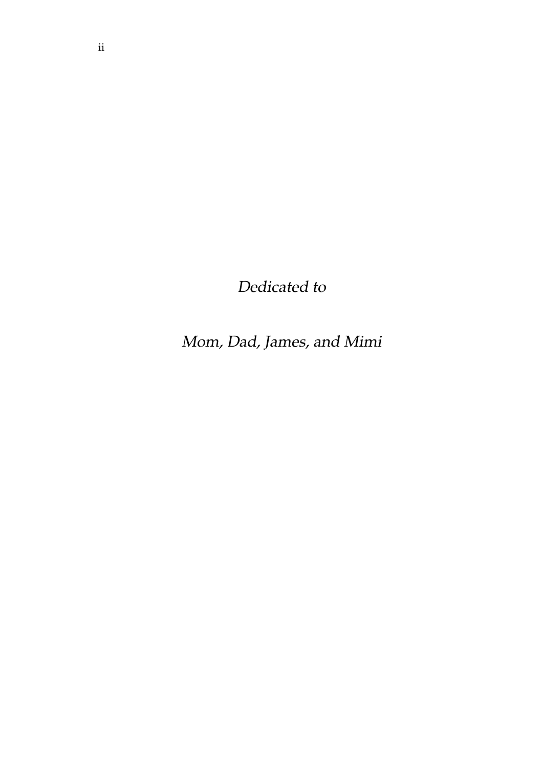Dedicated to

Mom, Dad, James, and Mimi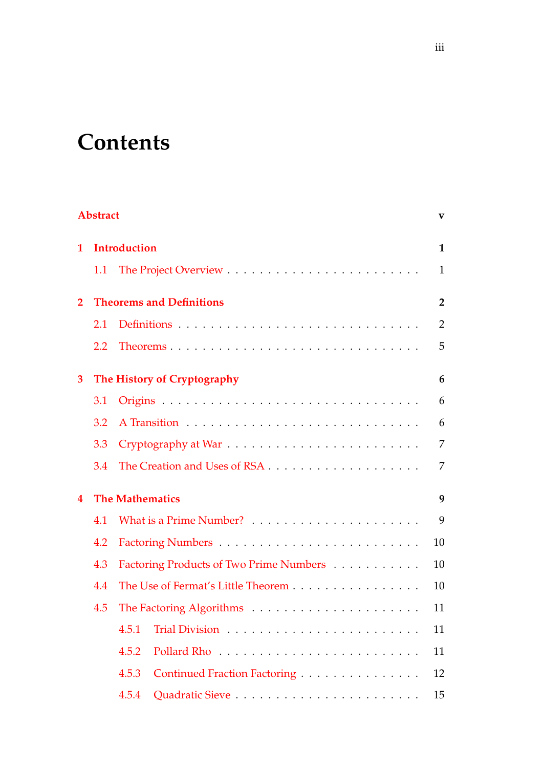## **Contents**

|                | <b>Abstract</b>                 |                                         |                |  |  |  |
|----------------|---------------------------------|-----------------------------------------|----------------|--|--|--|
| 1              |                                 | <b>Introduction</b>                     | $\mathbf{1}$   |  |  |  |
|                | 1.1                             |                                         | $\mathbf{1}$   |  |  |  |
| $\overline{2}$ | <b>Theorems and Definitions</b> |                                         |                |  |  |  |
|                | 2.1                             |                                         | $\overline{2}$ |  |  |  |
|                | 2.2                             |                                         | 5              |  |  |  |
| 3              |                                 | The History of Cryptography             | 6              |  |  |  |
|                | 3.1                             |                                         | 6              |  |  |  |
|                | 3.2                             |                                         | 6              |  |  |  |
|                | 3.3                             |                                         | $\overline{7}$ |  |  |  |
|                | 3.4                             |                                         | $\overline{7}$ |  |  |  |
| 4              |                                 | <b>The Mathematics</b>                  | 9              |  |  |  |
|                | 4.1                             |                                         | 9              |  |  |  |
|                | 4.2                             |                                         | 10             |  |  |  |
|                | 4.3                             | Factoring Products of Two Prime Numbers | 10             |  |  |  |
|                | 4.4                             | The Use of Fermat's Little Theorem      | 10             |  |  |  |
|                | 4.5                             |                                         | 11             |  |  |  |
|                |                                 | 4.5.1                                   | 11             |  |  |  |
|                |                                 | 4.5.2                                   | 11             |  |  |  |
|                |                                 | 4.5.3<br>Continued Fraction Factoring   | 12             |  |  |  |
|                |                                 | 4.5.4                                   | 15             |  |  |  |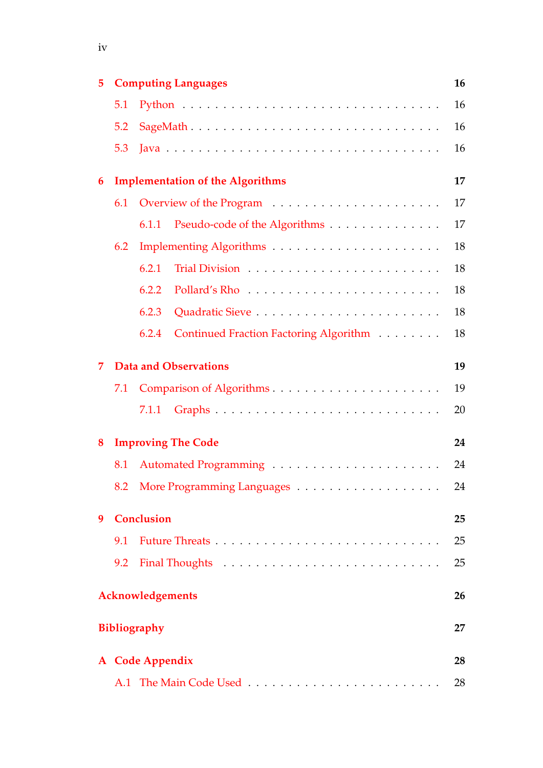| 5                                 |                                         | <b>Computing Languages</b>                      |    |  |  |  |  |
|-----------------------------------|-----------------------------------------|-------------------------------------------------|----|--|--|--|--|
|                                   | 5.1                                     |                                                 | 16 |  |  |  |  |
|                                   | 5.2                                     |                                                 | 16 |  |  |  |  |
|                                   | 5.3                                     |                                                 | 16 |  |  |  |  |
| 6                                 | <b>Implementation of the Algorithms</b> |                                                 |    |  |  |  |  |
|                                   | 6.1                                     |                                                 | 17 |  |  |  |  |
|                                   |                                         | 6.1.1<br>Pseudo-code of the Algorithms          | 17 |  |  |  |  |
|                                   | 6.2                                     |                                                 | 18 |  |  |  |  |
|                                   |                                         | 6.2.1                                           | 18 |  |  |  |  |
|                                   |                                         | 6.2.2                                           | 18 |  |  |  |  |
|                                   |                                         | 6.2.3                                           | 18 |  |  |  |  |
|                                   |                                         | Continued Fraction Factoring Algorithm<br>6.2.4 | 18 |  |  |  |  |
| <b>Data and Observations</b><br>7 |                                         |                                                 |    |  |  |  |  |
|                                   | 7.1                                     |                                                 | 19 |  |  |  |  |
|                                   |                                         | 7.1.1                                           | 20 |  |  |  |  |
| 8                                 | <b>Improving The Code</b>               | 24                                              |    |  |  |  |  |
|                                   | 8.1                                     |                                                 | 24 |  |  |  |  |
|                                   |                                         |                                                 | 24 |  |  |  |  |
| 9                                 | <b>Conclusion</b>                       | 25                                              |    |  |  |  |  |
|                                   | 9.1                                     |                                                 | 25 |  |  |  |  |
|                                   | 9.2                                     |                                                 | 25 |  |  |  |  |
| <b>Acknowledgements</b><br>26     |                                         |                                                 |    |  |  |  |  |
| <b>Bibliography</b><br>27         |                                         |                                                 |    |  |  |  |  |
| A Code Appendix<br>28             |                                         |                                                 |    |  |  |  |  |
|                                   | A.1                                     |                                                 |    |  |  |  |  |

iv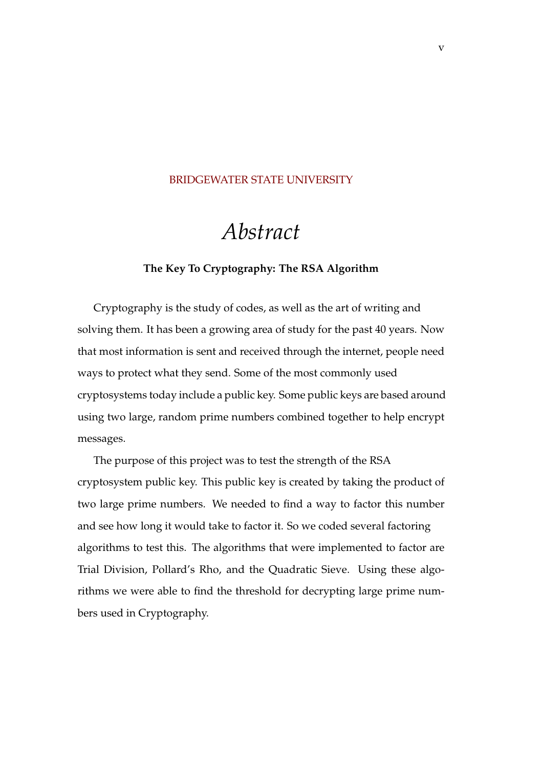#### <span id="page-6-0"></span>[BRIDGEWATER STATE UNIVERSITY](HTTPS://WWW.BRIDGEW.EDU/)

## *Abstract*

#### **The Key To Cryptography: The RSA Algorithm**

Cryptography is the study of codes, as well as the art of writing and solving them. It has been a growing area of study for the past 40 years. Now that most information is sent and received through the internet, people need ways to protect what they send. Some of the most commonly used cryptosystems today include a public key. Some public keys are based around using two large, random prime numbers combined together to help encrypt messages.

The purpose of this project was to test the strength of the RSA cryptosystem public key. This public key is created by taking the product of two large prime numbers. We needed to find a way to factor this number and see how long it would take to factor it. So we coded several factoring algorithms to test this. The algorithms that were implemented to factor are Trial Division, Pollard's Rho, and the Quadratic Sieve. Using these algorithms we were able to find the threshold for decrypting large prime numbers used in Cryptography.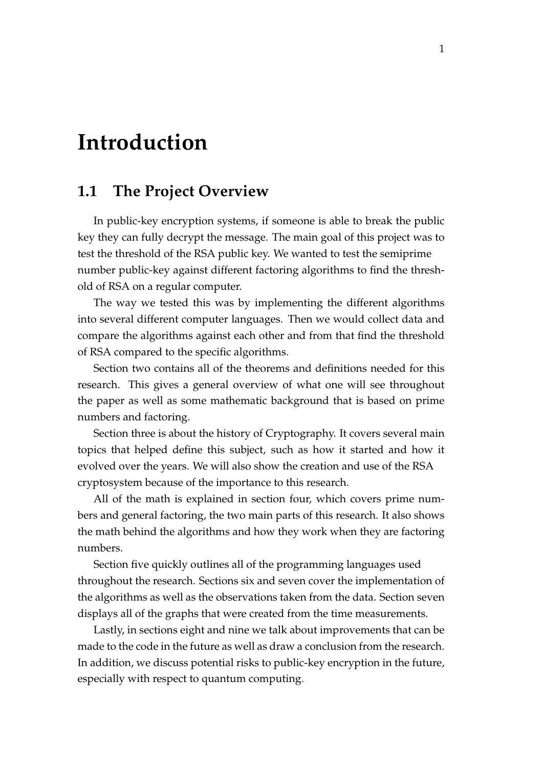## <span id="page-7-0"></span>**Introduction**

## <span id="page-7-1"></span>**1.1 The Project Overview**

In public-key encryption systems, if someone is able to break the public key they can fully decrypt the message. The main goal of this project was to test the threshold of the RSA public key. We wanted to test the semiprime number public-key against different factoring algorithms to find the threshold of RSA on a regular computer.

The way we tested this was by implementing the different algorithms into several different computer languages. Then we would collect data and compare the algorithms against each other and from that find the threshold of RSA compared to the specific algorithms.

Section two contains all of the theorems and definitions needed for this research. This gives a general overview of what one will see throughout the paper as well as some mathematic background that is based on prime numbers and factoring.

Section three is about the history of Cryptography. It covers several main topics that helped define this subject, such as how it started and how it evolved over the years. We will also show the creation and use of the RSA cryptosystem because of the importance to this research.

All of the math is explained in section four, which covers prime numbers and general factoring, the two main parts of this research. It also shows the math behind the algorithms and how they work when they are factoring numbers.

Section five quickly outlines all of the programming languages used throughout the research. Sections six and seven cover the implementation of the algorithms as well as the observations taken from the data. Section seven displays all of the graphs that were created from the time measurements.

Lastly, in sections eight and nine we talk about improvements that can be made to the code in the future as well as draw a conclusion from the research. In addition, we discuss potential risks to public-key encryption in the future, especially with respect to quantum computing.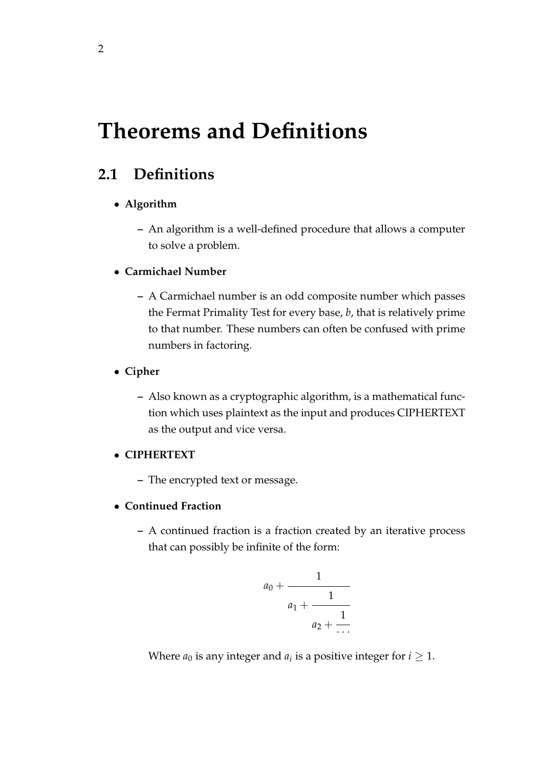## <span id="page-8-0"></span>**Theorems and Definitions**

## <span id="page-8-1"></span>**2.1 Definitions**

#### • **Algorithm**

- **–** An algorithm is a well-defined procedure that allows a computer to solve a problem.
- **Carmichael Number**
	- **–** A Carmichael number is an odd composite number which passes the Fermat Primality Test for every base, *b*, that is relatively prime to that number. These numbers can often be confused with prime numbers in factoring.
- **Cipher**
	- **–** Also known as a cryptographic algorithm, is a mathematical function which uses plaintext as the input and produces CIPHERTEXT as the output and vice versa.

#### • **CIPHERTEXT**

- **–** The encrypted text or message.
- **Continued Fraction**
	- **–** A continued fraction is a fraction created by an iterative process that can possibly be infinite of the form:

$$
a_0 + \cfrac{1}{a_1 + \cfrac{1}{a_2 + \cfrac{1}{\cdots}}}
$$

Where  $a_0$  is any integer and  $a_i$  is a positive integer for  $i \geq 1$ .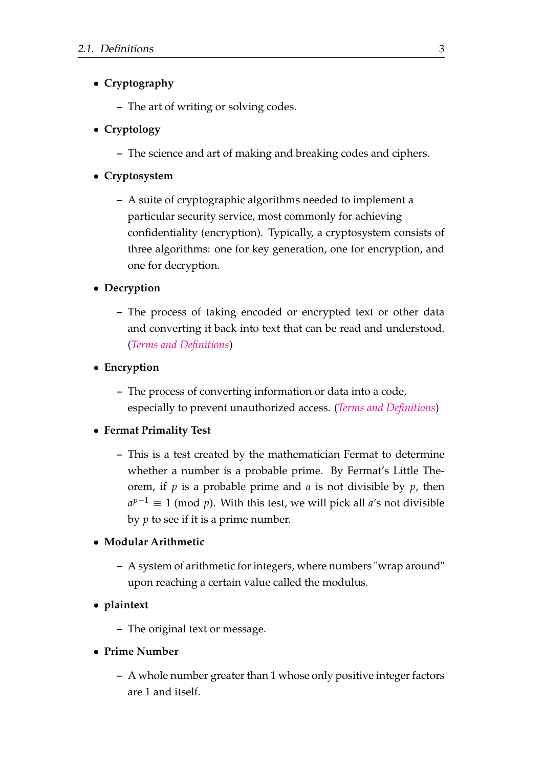### • **Cryptography**

**–** The art of writing or solving codes.

### • **Cryptology**

**–** The science and art of making and breaking codes and ciphers.

#### • **Cryptosystem**

**–** A suite of cryptographic algorithms needed to implement a particular security service, most commonly for achieving confidentiality (encryption). Typically, a cryptosystem consists of three algorithms: one for key generation, one for encryption, and one for decryption.

#### • **Decryption**

**–** The process of taking encoded or encrypted text or other data and converting it back into text that can be read and understood. (*[Terms and Definitions](#page-33-1)*)

#### • **Encryption**

**–** The process of converting information or data into a code, especially to prevent unauthorized access. (*[Terms and Definitions](#page-33-1)*)

#### • **Fermat Primality Test**

**–** This is a test created by the mathematician Fermat to determine whether a number is a probable prime. By Fermat's Little Theorem, if *p* is a probable prime and *a* is not divisible by *p*, then  $a^{p-1} \equiv 1 \pmod{p}$ . With this test, we will pick all *a*'s not divisible by *p* to see if it is a prime number.

#### • **Modular Arithmetic**

**–** A system of arithmetic for integers, where numbers "wrap around" upon reaching a certain value called the modulus.

#### • **plaintext**

- **–** The original text or message.
- **Prime Number**
	- **–** A whole number greater than 1 whose only positive integer factors are 1 and itself.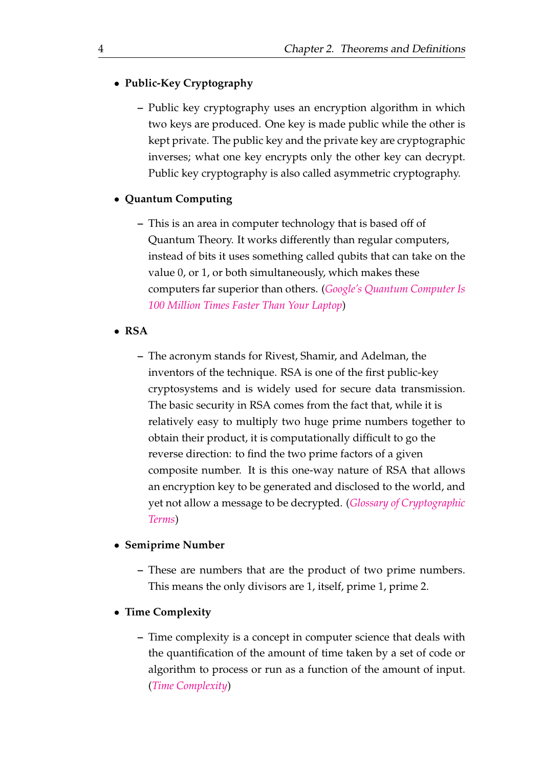#### • **Public-Key Cryptography**

**–** Public key cryptography uses an encryption algorithm in which two keys are produced. One key is made public while the other is kept private. The public key and the private key are cryptographic inverses; what one key encrypts only the other key can decrypt. Public key cryptography is also called asymmetric cryptography.

#### • **Quantum Computing**

- **–** This is an area in computer technology that is based off of Quantum Theory. It works differently than regular computers, instead of bits it uses something called qubits that can take on the value 0, or 1, or both simultaneously, which makes these computers far superior than others. (*[Google's Quantum Computer Is](#page-33-2) [100 Million Times Faster Than Your Laptop](#page-33-2)*)
- **RSA**
	- **–** The acronym stands for Rivest, Shamir, and Adelman, the inventors of the technique. RSA is one of the first public-key cryptosystems and is widely used for secure data transmission. The basic security in RSA comes from the fact that, while it is relatively easy to multiply two huge prime numbers together to obtain their product, it is computationally difficult to go the reverse direction: to find the two prime factors of a given composite number. It is this one-way nature of RSA that allows an encryption key to be generated and disclosed to the world, and yet not allow a message to be decrypted. (*[Glossary of Cryptographic](#page-33-3) [Terms](#page-33-3)*)

#### • **Semiprime Number**

**–** These are numbers that are the product of two prime numbers. This means the only divisors are 1, itself, prime 1, prime 2.

#### • **Time Complexity**

**–** Time complexity is a concept in computer science that deals with the quantification of the amount of time taken by a set of code or algorithm to process or run as a function of the amount of input. (*[Time Complexity](#page-33-4)*)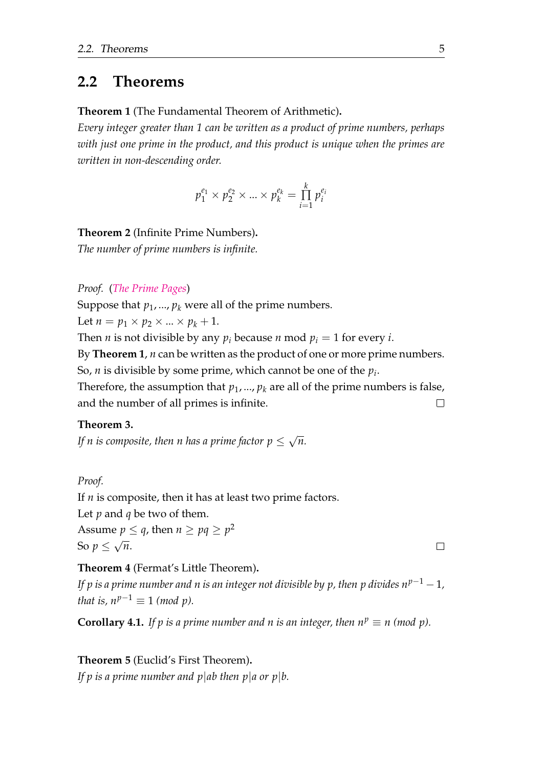### <span id="page-11-0"></span>**2.2 Theorems**

**Theorem 1** (The Fundamental Theorem of Arithmetic)**.**

*Every integer greater than 1 can be written as a product of prime numbers, perhaps with just one prime in the product, and this product is unique when the primes are written in non-descending order.*

$$
p_1^{e_1} \times p_2^{e_2} \times ... \times p_k^{e_k} = \prod_{i=1}^k p_i^{e_i}
$$

#### **Theorem 2** (Infinite Prime Numbers)**.**

*The number of prime numbers is infinite.*

*Proof.* (*[The Prime Pages](#page-33-5)*)

Suppose that  $p_1$ , ...,  $p_k$  were all of the prime numbers.

Let  $n = p_1 \times p_2 \times ... \times p_k + 1$ .

Then *n* is not divisible by any  $p_i$  because *n* mod  $p_i = 1$  for every *i*.

By **Theorem 1**, *n* can be written as the product of one or more prime numbers. So, *n* is divisible by some prime, which cannot be one of the *p<sup>i</sup>* .

Therefore, the assumption that  $p_1$ , ...,  $p_k$  are all of the prime numbers is false, and the number of all primes is infinite.  $\Box$ 

#### **Theorem 3.**

*If n is composite, then n has a prime factor*  $p \leq$ √ *n.*

*Proof.*

If *n* is composite, then it has at least two prime factors.

Let *p* and *q* be two of them.

Assume  $p \leq q$ , then  $n \geq pq \geq p^2$ So *p* ≤ √ *n*.

#### **Theorem 4** (Fermat's Little Theorem)**.**

*If p is a prime number and n is an integer not divisible by p, then p divides n<sup>p−1</sup> − 1, that is,*  $n^{p-1} \equiv 1 \pmod{p}$ *.* 

**Corollary 4.1.** *If p is a prime number and n is an integer, then*  $n^p \equiv n \pmod{p}$ *.* 

**Theorem 5** (Euclid's First Theorem)**.** *If p is a prime number and p|ab then p|a or p|b.*   $\Box$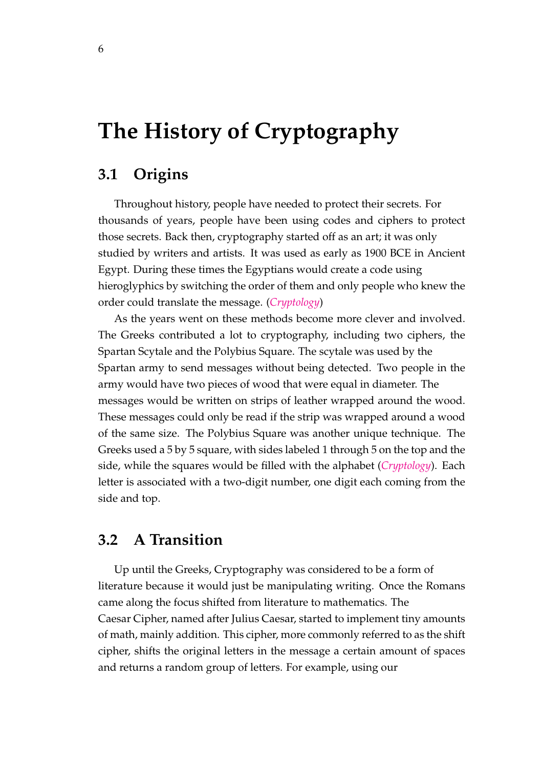## <span id="page-12-0"></span>**The History of Cryptography**

### <span id="page-12-1"></span>**3.1 Origins**

Throughout history, people have needed to protect their secrets. For thousands of years, people have been using codes and ciphers to protect those secrets. Back then, cryptography started off as an art; it was only studied by writers and artists. It was used as early as 1900 BCE in Ancient Egypt. During these times the Egyptians would create a code using hieroglyphics by switching the order of them and only people who knew the order could translate the message. (*[Cryptology](#page-33-6)*)

As the years went on these methods become more clever and involved. The Greeks contributed a lot to cryptography, including two ciphers, the Spartan Scytale and the Polybius Square. The scytale was used by the Spartan army to send messages without being detected. Two people in the army would have two pieces of wood that were equal in diameter. The messages would be written on strips of leather wrapped around the wood. These messages could only be read if the strip was wrapped around a wood of the same size. The Polybius Square was another unique technique. The Greeks used a 5 by 5 square, with sides labeled 1 through 5 on the top and the side, while the squares would be filled with the alphabet (*[Cryptology](#page-33-6)*). Each letter is associated with a two-digit number, one digit each coming from the side and top.

### <span id="page-12-2"></span>**3.2 A Transition**

Up until the Greeks, Cryptography was considered to be a form of literature because it would just be manipulating writing. Once the Romans came along the focus shifted from literature to mathematics. The Caesar Cipher, named after Julius Caesar, started to implement tiny amounts of math, mainly addition. This cipher, more commonly referred to as the shift cipher, shifts the original letters in the message a certain amount of spaces and returns a random group of letters. For example, using our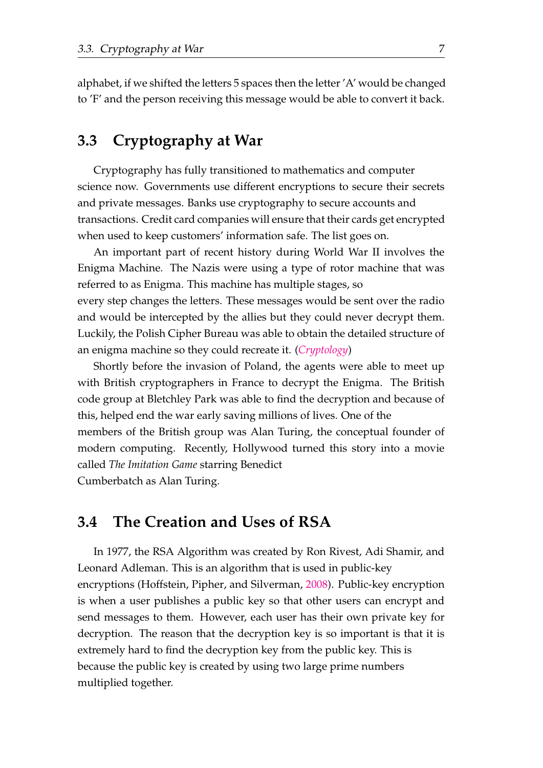alphabet, if we shifted the letters 5 spaces then the letter 'A' would be changed to 'F' and the person receiving this message would be able to convert it back.

## <span id="page-13-0"></span>**3.3 Cryptography at War**

Cryptography has fully transitioned to mathematics and computer science now. Governments use different encryptions to secure their secrets and private messages. Banks use cryptography to secure accounts and transactions. Credit card companies will ensure that their cards get encrypted when used to keep customers' information safe. The list goes on.

An important part of recent history during World War II involves the Enigma Machine. The Nazis were using a type of rotor machine that was referred to as Enigma. This machine has multiple stages, so every step changes the letters. These messages would be sent over the radio and would be intercepted by the allies but they could never decrypt them. Luckily, the Polish Cipher Bureau was able to obtain the detailed structure of an enigma machine so they could recreate it. (*[Cryptology](#page-33-6)*)

Shortly before the invasion of Poland, the agents were able to meet up with British cryptographers in France to decrypt the Enigma. The British code group at Bletchley Park was able to find the decryption and because of this, helped end the war early saving millions of lives. One of the members of the British group was Alan Turing, the conceptual founder of modern computing. Recently, Hollywood turned this story into a movie called *The Imitation Game* starring Benedict

Cumberbatch as Alan Turing.

### <span id="page-13-1"></span>**3.4 The Creation and Uses of RSA**

In 1977, the RSA Algorithm was created by Ron Rivest, Adi Shamir, and Leonard Adleman. This is an algorithm that is used in public-key encryptions (Hoffstein, Pipher, and Silverman, [2008\)](#page-33-7). Public-key encryption is when a user publishes a public key so that other users can encrypt and send messages to them. However, each user has their own private key for decryption. The reason that the decryption key is so important is that it is extremely hard to find the decryption key from the public key. This is because the public key is created by using two large prime numbers multiplied together.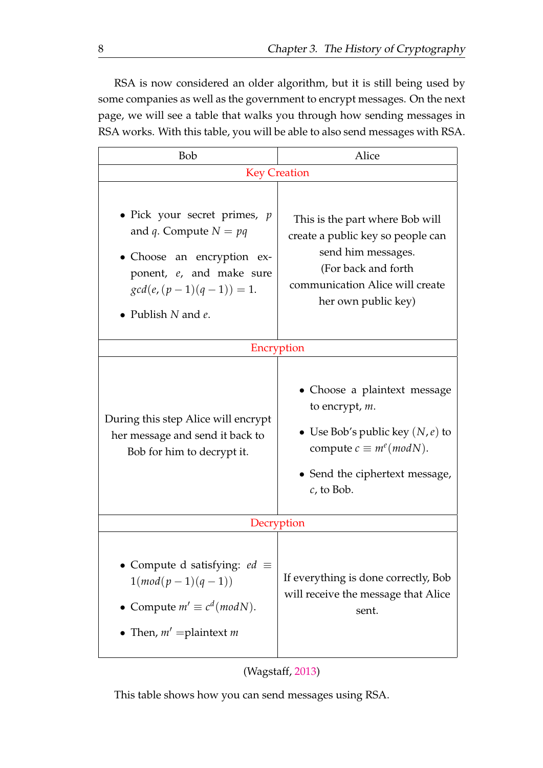RSA is now considered an older algorithm, but it is still being used by some companies as well as the government to encrypt messages. On the next page, we will see a table that walks you through how sending messages in RSA works. With this table, you will be able to also send messages with RSA.

| Bob                                                                                                                                                                                 | Alice                                                                                                                                                                       |  |  |  |  |
|-------------------------------------------------------------------------------------------------------------------------------------------------------------------------------------|-----------------------------------------------------------------------------------------------------------------------------------------------------------------------------|--|--|--|--|
| <b>Key Creation</b>                                                                                                                                                                 |                                                                                                                                                                             |  |  |  |  |
| • Pick your secret primes, $p$<br>and <i>q</i> . Compute $N = pq$<br>· Choose an encryption ex-<br>ponent, e, and make sure<br>$gcd(e, (p-1)(q-1)) = 1.$<br>• Publish $N$ and $e$ . | This is the part where Bob will<br>create a public key so people can<br>send him messages.<br>(For back and forth<br>communication Alice will create<br>her own public key) |  |  |  |  |
|                                                                                                                                                                                     | Encryption                                                                                                                                                                  |  |  |  |  |
| During this step Alice will encrypt<br>her message and send it back to<br>Bob for him to decrypt it.                                                                                | • Choose a plaintext message<br>to encrypt, m.<br>• Use Bob's public key $(N, e)$ to<br>compute $c \equiv m^e (mod N)$ .<br>• Send the ciphertext message,<br>$c$ , to Bob. |  |  |  |  |
|                                                                                                                                                                                     | Decryption                                                                                                                                                                  |  |  |  |  |
| • Compute d satisfying: $ed \equiv$<br>$1(mod(p-1)(q-1))$<br>• Compute $m' \equiv c^d (mod N)$ .<br>• Then, $m'$ = plaintext m                                                      | If everything is done correctly, Bob<br>will receive the message that Alice<br>sent.                                                                                        |  |  |  |  |



This table shows how you can send messages using RSA.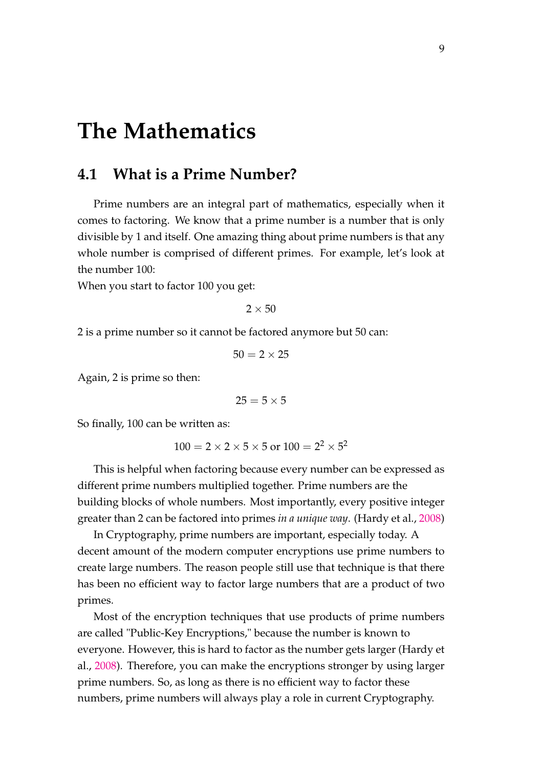## <span id="page-15-0"></span>**The Mathematics**

### <span id="page-15-1"></span>**4.1 What is a Prime Number?**

Prime numbers are an integral part of mathematics, especially when it comes to factoring. We know that a prime number is a number that is only divisible by 1 and itself. One amazing thing about prime numbers is that any whole number is comprised of different primes. For example, let's look at the number 100:

When you start to factor 100 you get:

 $2 \times 50$ 

2 is a prime number so it cannot be factored anymore but 50 can:

$$
50 = 2 \times 25
$$

Again, 2 is prime so then:

$$
25=5\times 5
$$

So finally, 100 can be written as:

 $100 = 2 \times 2 \times 5 \times 5$  or  $100 = 2^2 \times 5^2$ 

This is helpful when factoring because every number can be expressed as different prime numbers multiplied together. Prime numbers are the building blocks of whole numbers. Most importantly, every positive integer greater than 2 can be factored into primes *in a unique way*. (Hardy et al., [2008\)](#page-33-9)

In Cryptography, prime numbers are important, especially today. A decent amount of the modern computer encryptions use prime numbers to create large numbers. The reason people still use that technique is that there has been no efficient way to factor large numbers that are a product of two primes.

Most of the encryption techniques that use products of prime numbers are called "Public-Key Encryptions," because the number is known to everyone. However, this is hard to factor as the number gets larger (Hardy et al., [2008\)](#page-33-9). Therefore, you can make the encryptions stronger by using larger prime numbers. So, as long as there is no efficient way to factor these numbers, prime numbers will always play a role in current Cryptography.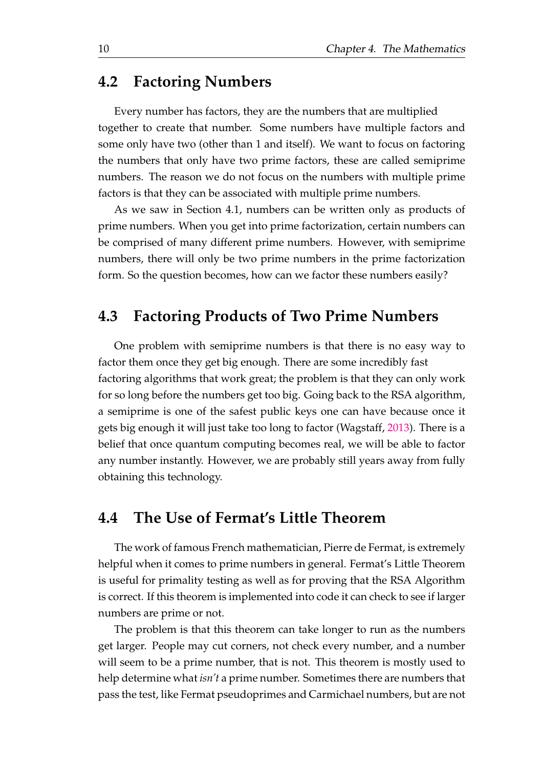### <span id="page-16-0"></span>**4.2 Factoring Numbers**

Every number has factors, they are the numbers that are multiplied together to create that number. Some numbers have multiple factors and some only have two (other than 1 and itself). We want to focus on factoring the numbers that only have two prime factors, these are called semiprime numbers. The reason we do not focus on the numbers with multiple prime factors is that they can be associated with multiple prime numbers.

As we saw in Section 4.1, numbers can be written only as products of prime numbers. When you get into prime factorization, certain numbers can be comprised of many different prime numbers. However, with semiprime numbers, there will only be two prime numbers in the prime factorization form. So the question becomes, how can we factor these numbers easily?

## <span id="page-16-1"></span>**4.3 Factoring Products of Two Prime Numbers**

One problem with semiprime numbers is that there is no easy way to factor them once they get big enough. There are some incredibly fast factoring algorithms that work great; the problem is that they can only work for so long before the numbers get too big. Going back to the RSA algorithm, a semiprime is one of the safest public keys one can have because once it gets big enough it will just take too long to factor (Wagstaff, [2013\)](#page-33-8). There is a belief that once quantum computing becomes real, we will be able to factor any number instantly. However, we are probably still years away from fully obtaining this technology.

## <span id="page-16-2"></span>**4.4 The Use of Fermat's Little Theorem**

The work of famous French mathematician, Pierre de Fermat, is extremely helpful when it comes to prime numbers in general. Fermat's Little Theorem is useful for primality testing as well as for proving that the RSA Algorithm is correct. If this theorem is implemented into code it can check to see if larger numbers are prime or not.

The problem is that this theorem can take longer to run as the numbers get larger. People may cut corners, not check every number, and a number will seem to be a prime number, that is not. This theorem is mostly used to help determine what *isn't* a prime number. Sometimes there are numbers that pass the test, like Fermat pseudoprimes and Carmichael numbers, but are not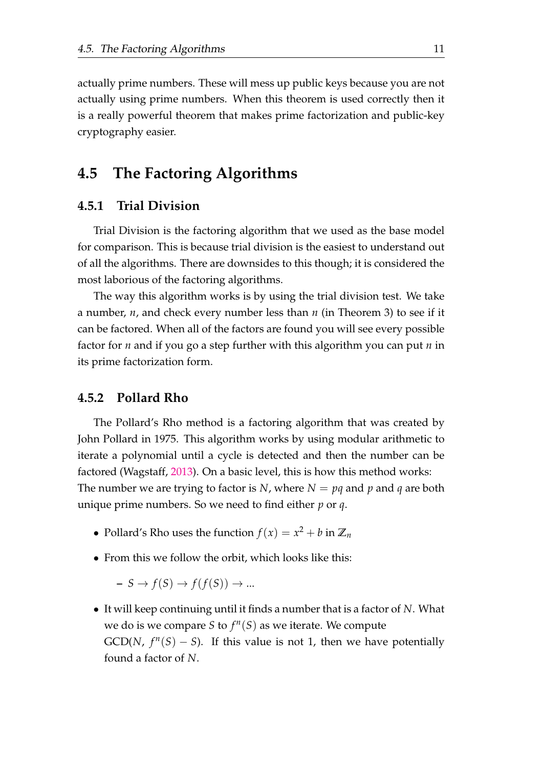actually prime numbers. These will mess up public keys because you are not actually using prime numbers. When this theorem is used correctly then it is a really powerful theorem that makes prime factorization and public-key cryptography easier.

## <span id="page-17-0"></span>**4.5 The Factoring Algorithms**

#### <span id="page-17-1"></span>**4.5.1 Trial Division**

Trial Division is the factoring algorithm that we used as the base model for comparison. This is because trial division is the easiest to understand out of all the algorithms. There are downsides to this though; it is considered the most laborious of the factoring algorithms.

The way this algorithm works is by using the trial division test. We take a number, *n*, and check every number less than *n* (in Theorem 3) to see if it can be factored. When all of the factors are found you will see every possible factor for *n* and if you go a step further with this algorithm you can put *n* in its prime factorization form.

#### <span id="page-17-2"></span>**4.5.2 Pollard Rho**

The Pollard's Rho method is a factoring algorithm that was created by John Pollard in 1975. This algorithm works by using modular arithmetic to iterate a polynomial until a cycle is detected and then the number can be factored (Wagstaff, [2013\)](#page-33-8). On a basic level, this is how this method works: The number we are trying to factor is *N*, where  $N = pq$  and  $p$  and  $q$  are both unique prime numbers. So we need to find either *p* or *q*.

- Pollard's Rho uses the function  $f(x) = x^2 + b$  in  $\mathbb{Z}_n$
- From this we follow the orbit, which looks like this:

 $- S \rightarrow f(S) \rightarrow f(f(S)) \rightarrow ...$ 

• It will keep continuing until it finds a number that is a factor of *N*. What we do is we compare *S* to  $f^n(S)$  as we iterate. We compute  $GCD(N, f<sup>n</sup>(S) - S)$ . If this value is not 1, then we have potentially found a factor of *N*.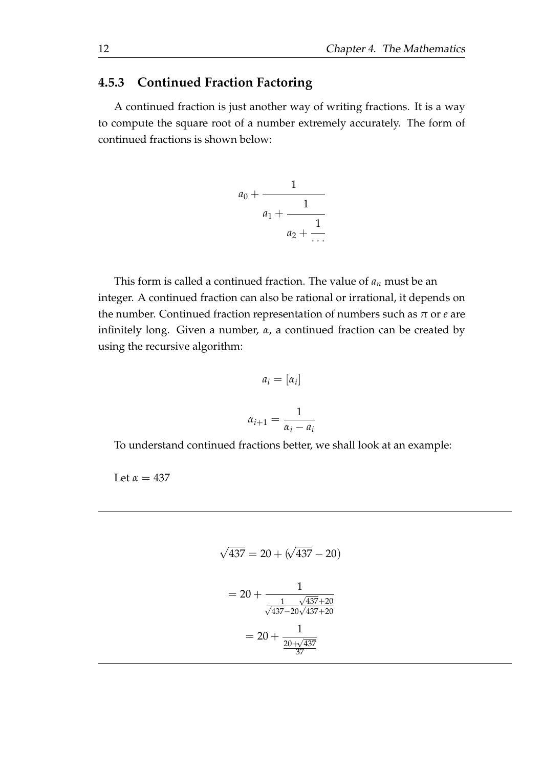### <span id="page-18-0"></span>**4.5.3 Continued Fraction Factoring**

A continued fraction is just another way of writing fractions. It is a way to compute the square root of a number extremely accurately. The form of continued fractions is shown below:

$$
a_0 + \cfrac{1}{a_1 + \cfrac{1}{a_2 + \cfrac{1}{\cdots}}}
$$

This form is called a continued fraction. The value of *a<sup>n</sup>* must be an integer. A continued fraction can also be rational or irrational, it depends on the number. Continued fraction representation of numbers such as  $\pi$  or  $e$  are infinitely long. Given a number, *α*, a continued fraction can be created by using the recursive algorithm:

$$
a_i = [\alpha_i]
$$

$$
\alpha_{i+1} = \frac{1}{\alpha_i - a_i}
$$

To understand continued fractions better, we shall look at an example:

Let  $\alpha = 437$ 

$$
\sqrt{437} = 20 + (\sqrt{437} - 20)
$$

$$
= 20 + \frac{1}{\sqrt{437} - 20\sqrt{437} + 20}
$$

$$
= 20 + \frac{1}{\frac{20 + \sqrt{437}}{37}}
$$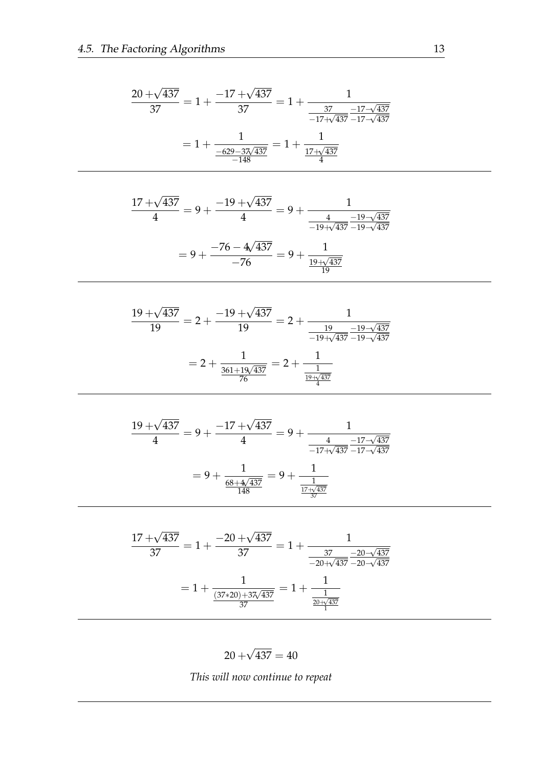$$
\frac{20 + \sqrt{437}}{37} = 1 + \frac{-17 + \sqrt{437}}{37} = 1 + \frac{1}{\frac{37}{-17 + \sqrt{437}} \frac{-17 - \sqrt{437}}{-17 - \sqrt{437}}}
$$

$$
= 1 + \frac{1}{\frac{-629 - 37\sqrt{437}}{-148}} = 1 + \frac{1}{\frac{17 + \sqrt{437}}{4}}
$$

$$
\frac{17 + \sqrt{437}}{4} = 9 + \frac{-19 + \sqrt{437}}{4} = 9 + \frac{1}{\frac{4}{-19 + \sqrt{437}} \frac{-19 - \sqrt{437}}{-19 - \sqrt{437}}}
$$

$$
= 9 + \frac{-76 - 4\sqrt{437}}{-76} = 9 + \frac{1}{\frac{19 + \sqrt{437}}{19}}
$$

$$
\frac{19 + \sqrt{437}}{19} = 2 + \frac{-19 + \sqrt{437}}{19} = 2 + \frac{1}{\frac{19}{-19 + \sqrt{437}} \frac{-19 - \sqrt{437}}{-19 - \sqrt{437}}}
$$

$$
= 2 + \frac{1}{\frac{361 + 19\sqrt{437}}{76}} = 2 + \frac{1}{\frac{19}{\frac{19 + \sqrt{437}}{4}}}
$$

$$
\frac{19 + \sqrt{437}}{4} = 9 + \frac{-17 + \sqrt{437}}{4} = 9 + \frac{1}{\frac{4}{-17 + \sqrt{437}} \frac{-17 - \sqrt{437}}{-17 - \sqrt{437}}}
$$

$$
= 9 + \frac{1}{\frac{68 + 4\sqrt{437}}{148}} = 9 + \frac{1}{\frac{1}{\frac{17 + \sqrt{437}}{37}}}
$$

$$
\frac{17 + \sqrt{437}}{37} = 1 + \frac{-20 + \sqrt{437}}{37} = 1 + \frac{1}{\frac{37}{-20 + \sqrt{437}} \frac{-20 - \sqrt{437}}{-20 + \sqrt{437}}}
$$

$$
= 1 + \frac{1}{\frac{(37 \times 20) + 37\sqrt{437}}{37}} = 1 + \frac{1}{\frac{1}{\frac{20 + \sqrt{437}}{1}}}
$$

 $20 +$ √  $437 = 40$ 

*This will now continue to repeat*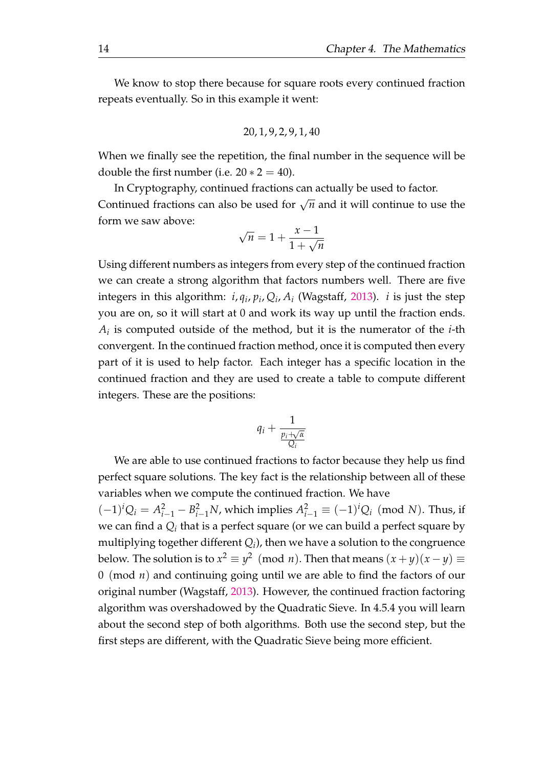We know to stop there because for square roots every continued fraction repeats eventually. So in this example it went:

$$
20,1,9,2,9,1,40\\
$$

When we finally see the repetition, the final number in the sequence will be double the first number (i.e.  $20 * 2 = 40$ ).

In Cryptography, continued fractions can actually be used to factor. Continued fractions can also be used for  $\sqrt{n}$  and it will continue to use the form we saw above:

$$
\sqrt{n} = 1 + \frac{x - 1}{1 + \sqrt{n}}
$$

Using different numbers as integers from every step of the continued fraction we can create a strong algorithm that factors numbers well. There are five integers in this algorithm:  $i$ ,  $q_i$ ,  $p_i$ ,  $Q_i$ ,  $A_i$  (Wagstaff, [2013\)](#page-33-8).  $i$  is just the step you are on, so it will start at 0 and work its way up until the fraction ends. *Ai* is computed outside of the method, but it is the numerator of the *i*-th convergent. In the continued fraction method, once it is computed then every part of it is used to help factor. Each integer has a specific location in the continued fraction and they are used to create a table to compute different integers. These are the positions:

$$
q_i + \frac{1}{\frac{p_i + \sqrt{\alpha}}{Q_i}}
$$

We are able to use continued fractions to factor because they help us find perfect square solutions. The key fact is the relationship between all of these variables when we compute the continued fraction. We have

 $(-1)^i Q_i = A_{i-1}^2 - B_{i-1}^2 N$ , which implies  $A_{i-1}^2 \equiv (-1)^i Q_i \pmod{N}$ . Thus, if we can find a  $Q_i$  that is a perfect square (or we can build a perfect square by multiplying together different  $Q_i$ ), then we have a solution to the congruence below. The solution is to  $x^2 \equiv y^2 \pmod{n}$ . Then that means  $(x+y)(x-y) \equiv$ 0 (mod *n*) and continuing going until we are able to find the factors of our original number (Wagstaff, [2013\)](#page-33-8). However, the continued fraction factoring algorithm was overshadowed by the Quadratic Sieve. In 4.5.4 you will learn about the second step of both algorithms. Both use the second step, but the first steps are different, with the Quadratic Sieve being more efficient.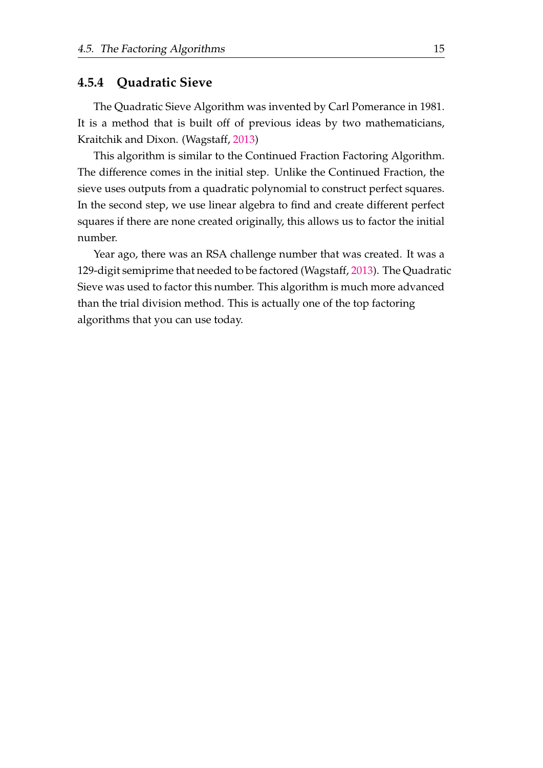#### <span id="page-21-0"></span>**4.5.4 Quadratic Sieve**

The Quadratic Sieve Algorithm was invented by Carl Pomerance in 1981. It is a method that is built off of previous ideas by two mathematicians, Kraitchik and Dixon. (Wagstaff, [2013\)](#page-33-8)

This algorithm is similar to the Continued Fraction Factoring Algorithm. The difference comes in the initial step. Unlike the Continued Fraction, the sieve uses outputs from a quadratic polynomial to construct perfect squares. In the second step, we use linear algebra to find and create different perfect squares if there are none created originally, this allows us to factor the initial number.

Year ago, there was an RSA challenge number that was created. It was a 129-digit semiprime that needed to be factored (Wagstaff, [2013\)](#page-33-8). The Quadratic Sieve was used to factor this number. This algorithm is much more advanced than the trial division method. This is actually one of the top factoring algorithms that you can use today.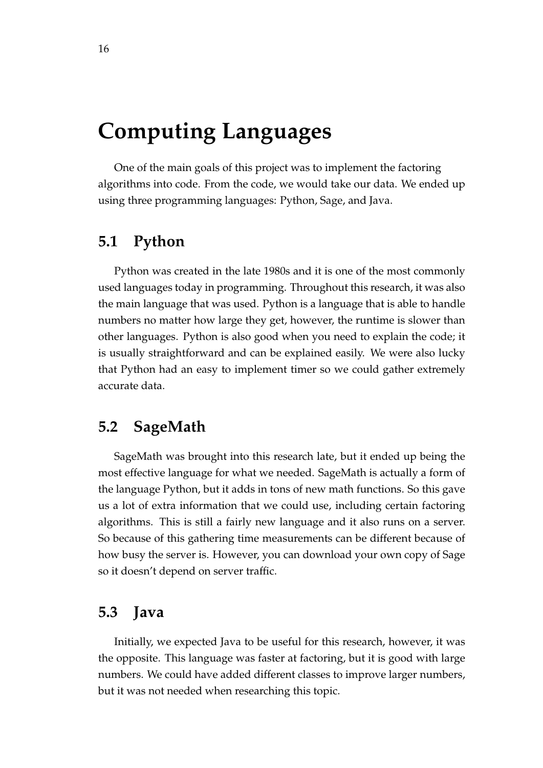## <span id="page-22-0"></span>**Computing Languages**

One of the main goals of this project was to implement the factoring algorithms into code. From the code, we would take our data. We ended up using three programming languages: Python, Sage, and Java.

## <span id="page-22-1"></span>**5.1 Python**

Python was created in the late 1980s and it is one of the most commonly used languages today in programming. Throughout this research, it was also the main language that was used. Python is a language that is able to handle numbers no matter how large they get, however, the runtime is slower than other languages. Python is also good when you need to explain the code; it is usually straightforward and can be explained easily. We were also lucky that Python had an easy to implement timer so we could gather extremely accurate data.

## <span id="page-22-2"></span>**5.2 SageMath**

SageMath was brought into this research late, but it ended up being the most effective language for what we needed. SageMath is actually a form of the language Python, but it adds in tons of new math functions. So this gave us a lot of extra information that we could use, including certain factoring algorithms. This is still a fairly new language and it also runs on a server. So because of this gathering time measurements can be different because of how busy the server is. However, you can download your own copy of Sage so it doesn't depend on server traffic.

### <span id="page-22-3"></span>**5.3 Java**

Initially, we expected Java to be useful for this research, however, it was the opposite. This language was faster at factoring, but it is good with large numbers. We could have added different classes to improve larger numbers, but it was not needed when researching this topic.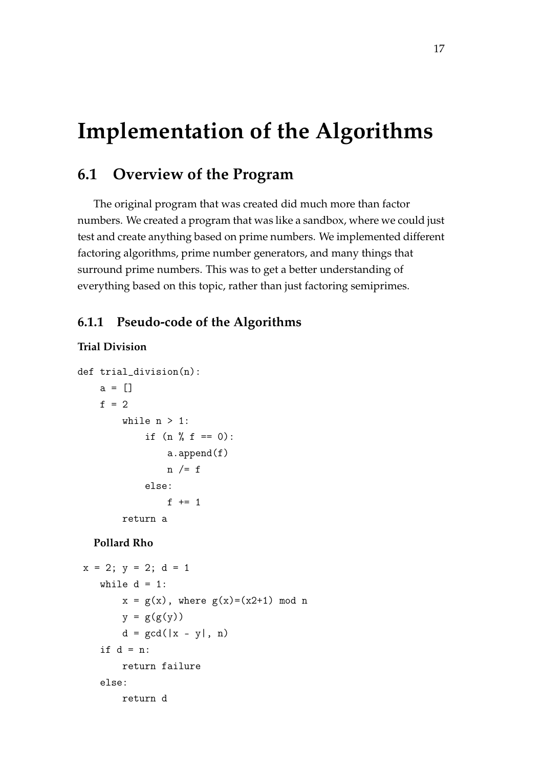## <span id="page-23-0"></span>**Implementation of the Algorithms**

## <span id="page-23-1"></span>**6.1 Overview of the Program**

The original program that was created did much more than factor numbers. We created a program that was like a sandbox, where we could just test and create anything based on prime numbers. We implemented different factoring algorithms, prime number generators, and many things that surround prime numbers. This was to get a better understanding of everything based on this topic, rather than just factoring semiprimes.

#### <span id="page-23-2"></span>**6.1.1 Pseudo-code of the Algorithms**

#### **Trial Division**

```
def trial_division(n):
    a = []f = 2while n > 1:
            if (n \, % f == 0):
                a.append(f)
                n /= felse:
                f += 1
        return a
```
#### **Pollard Rho**

```
x = 2; y = 2; d = 1while d = 1:
       x = g(x), where g(x)=(x2+1) \mod ny = g(g(y))d = \gcd(|x - y|, n)if d = n:
      return failure
  else:
      return d
```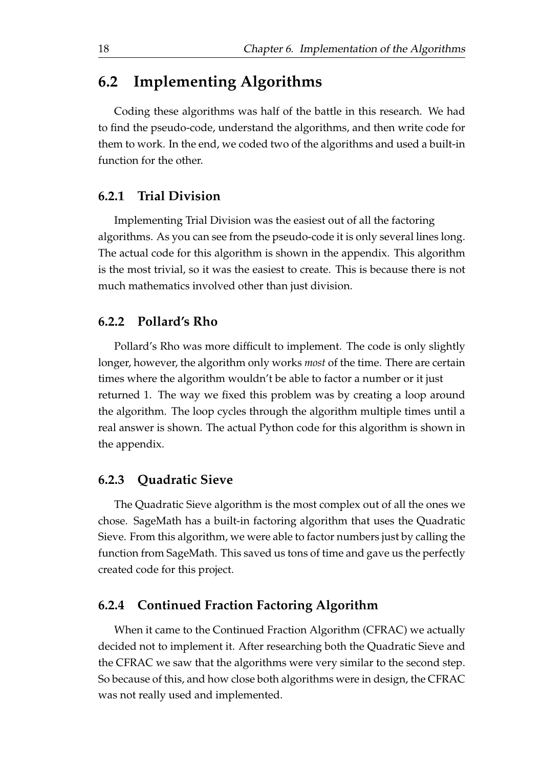## <span id="page-24-0"></span>**6.2 Implementing Algorithms**

Coding these algorithms was half of the battle in this research. We had to find the pseudo-code, understand the algorithms, and then write code for them to work. In the end, we coded two of the algorithms and used a built-in function for the other.

#### <span id="page-24-1"></span>**6.2.1 Trial Division**

Implementing Trial Division was the easiest out of all the factoring algorithms. As you can see from the pseudo-code it is only several lines long. The actual code for this algorithm is shown in the appendix. This algorithm is the most trivial, so it was the easiest to create. This is because there is not much mathematics involved other than just division.

#### <span id="page-24-2"></span>**6.2.2 Pollard's Rho**

Pollard's Rho was more difficult to implement. The code is only slightly longer, however, the algorithm only works *most* of the time. There are certain times where the algorithm wouldn't be able to factor a number or it just returned 1. The way we fixed this problem was by creating a loop around the algorithm. The loop cycles through the algorithm multiple times until a real answer is shown. The actual Python code for this algorithm is shown in the appendix.

#### <span id="page-24-3"></span>**6.2.3 Quadratic Sieve**

The Quadratic Sieve algorithm is the most complex out of all the ones we chose. SageMath has a built-in factoring algorithm that uses the Quadratic Sieve. From this algorithm, we were able to factor numbers just by calling the function from SageMath. This saved us tons of time and gave us the perfectly created code for this project.

#### <span id="page-24-4"></span>**6.2.4 Continued Fraction Factoring Algorithm**

When it came to the Continued Fraction Algorithm (CFRAC) we actually decided not to implement it. After researching both the Quadratic Sieve and the CFRAC we saw that the algorithms were very similar to the second step. So because of this, and how close both algorithms were in design, the CFRAC was not really used and implemented.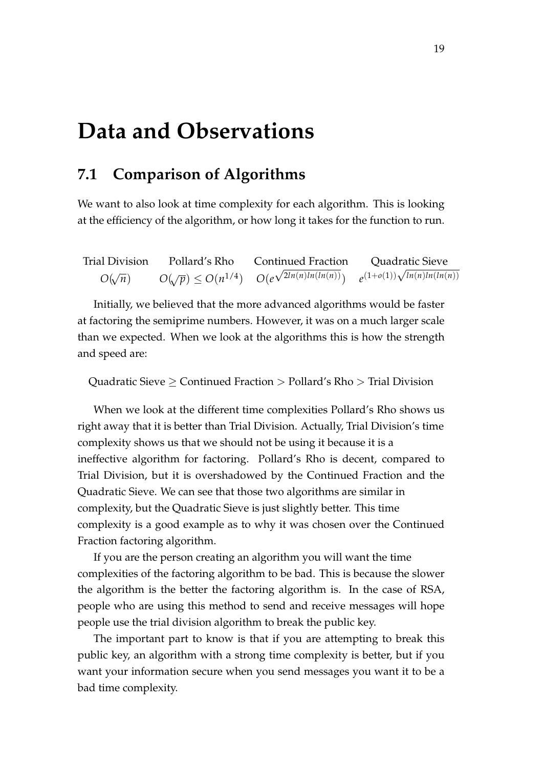## <span id="page-25-0"></span>**Data and Observations**

## <span id="page-25-1"></span>**7.1 Comparison of Algorithms**

We want to also look at time complexity for each algorithm. This is looking at the efficiency of the algorithm, or how long it takes for the function to run.

| <b>Trial Division</b> | Pollard's Rho | <b>Continued Fraction</b>                                                       | Quadratic Sieve                        |
|-----------------------|---------------|---------------------------------------------------------------------------------|----------------------------------------|
| $O(\sqrt{n})$         |               | $O(\sqrt{p}) \leq O(n^{1/4}) \quad O(e^{\sqrt{2\ln(n)\ln(\ln(n))}})$ $\epsilon$ | $\rho(1+o(1))\sqrt{\ln(n)\ln(\ln(n))}$ |

Initially, we believed that the more advanced algorithms would be faster at factoring the semiprime numbers. However, it was on a much larger scale than we expected. When we look at the algorithms this is how the strength and speed are:

Quadratic Sieve  $\geq$  Continued Fraction  $>$  Pollard's Rho  $>$  Trial Division

When we look at the different time complexities Pollard's Rho shows us right away that it is better than Trial Division. Actually, Trial Division's time complexity shows us that we should not be using it because it is a ineffective algorithm for factoring. Pollard's Rho is decent, compared to Trial Division, but it is overshadowed by the Continued Fraction and the Quadratic Sieve. We can see that those two algorithms are similar in complexity, but the Quadratic Sieve is just slightly better. This time complexity is a good example as to why it was chosen over the Continued Fraction factoring algorithm.

If you are the person creating an algorithm you will want the time complexities of the factoring algorithm to be bad. This is because the slower the algorithm is the better the factoring algorithm is. In the case of RSA, people who are using this method to send and receive messages will hope people use the trial division algorithm to break the public key.

The important part to know is that if you are attempting to break this public key, an algorithm with a strong time complexity is better, but if you want your information secure when you send messages you want it to be a bad time complexity.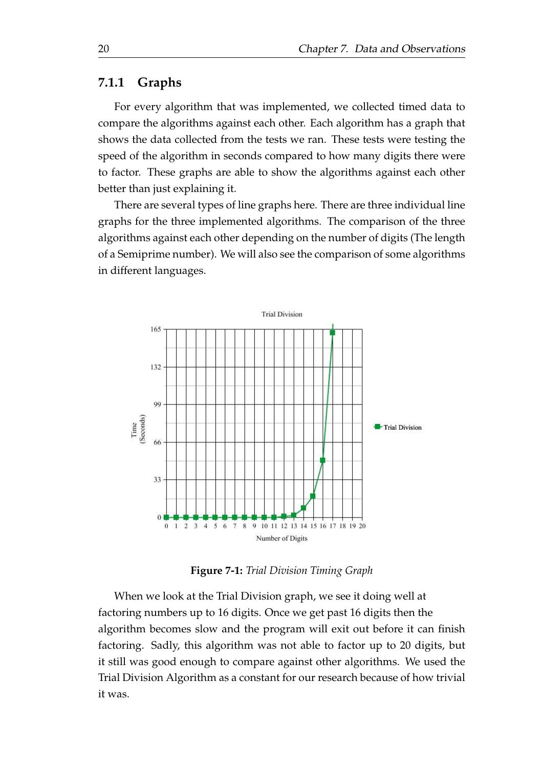#### <span id="page-26-0"></span>**7.1.1 Graphs**

For every algorithm that was implemented, we collected timed data to compare the algorithms against each other. Each algorithm has a graph that shows the data collected from the tests we ran. These tests were testing the speed of the algorithm in seconds compared to how many digits there were to factor. These graphs are able to show the algorithms against each other better than just explaining it.

There are several types of line graphs here. There are three individual line graphs for the three implemented algorithms. The comparison of the three algorithms against each other depending on the number of digits (The length of a Semiprime number). We will also see the comparison of some algorithms in different languages.



**Figure 7-1:** *Trial Division Timing Graph*

When we look at the Trial Division graph, we see it doing well at factoring numbers up to 16 digits. Once we get past 16 digits then the algorithm becomes slow and the program will exit out before it can finish factoring. Sadly, this algorithm was not able to factor up to 20 digits, but it still was good enough to compare against other algorithms. We used the Trial Division Algorithm as a constant for our research because of how trivial it was.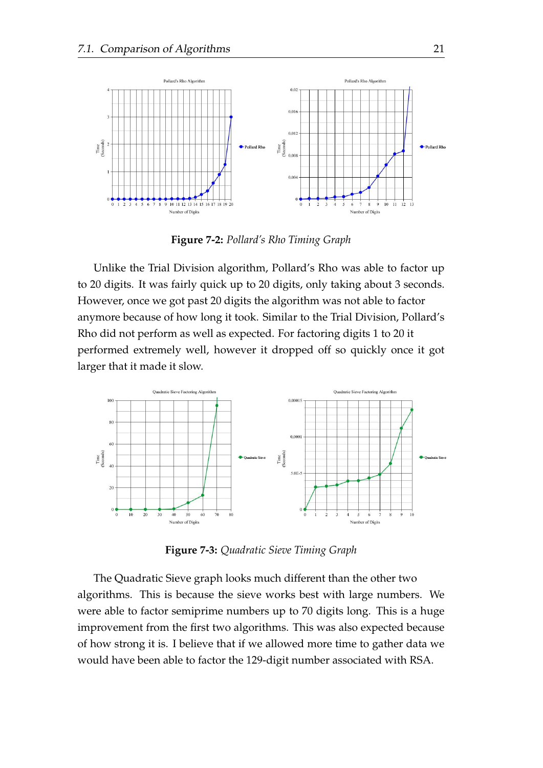

**Figure 7-2:** *Pollard's Rho Timing Graph*

Unlike the Trial Division algorithm, Pollard's Rho was able to factor up to 20 digits. It was fairly quick up to 20 digits, only taking about 3 seconds. However, once we got past 20 digits the algorithm was not able to factor anymore because of how long it took. Similar to the Trial Division, Pollard's Rho did not perform as well as expected. For factoring digits 1 to 20 it performed extremely well, however it dropped off so quickly once it got larger that it made it slow.



**Figure 7-3:** *Quadratic Sieve Timing Graph*

The Quadratic Sieve graph looks much different than the other two algorithms. This is because the sieve works best with large numbers. We were able to factor semiprime numbers up to 70 digits long. This is a huge improvement from the first two algorithms. This was also expected because of how strong it is. I believe that if we allowed more time to gather data we would have been able to factor the 129-digit number associated with RSA.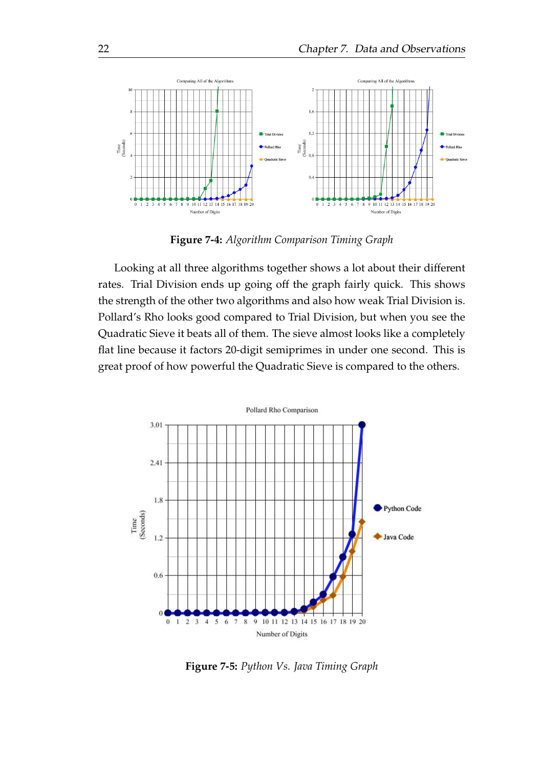

**Figure 7-4:** *Algorithm Comparison Timing Graph*

Looking at all three algorithms together shows a lot about their different rates. Trial Division ends up going off the graph fairly quick. This shows the strength of the other two algorithms and also how weak Trial Division is. Pollard's Rho looks good compared to Trial Division, but when you see the Quadratic Sieve it beats all of them. The sieve almost looks like a completely flat line because it factors 20-digit semiprimes in under one second. This is great proof of how powerful the Quadratic Sieve is compared to the others.



**Figure 7-5:** *Python Vs. Java Timing Graph*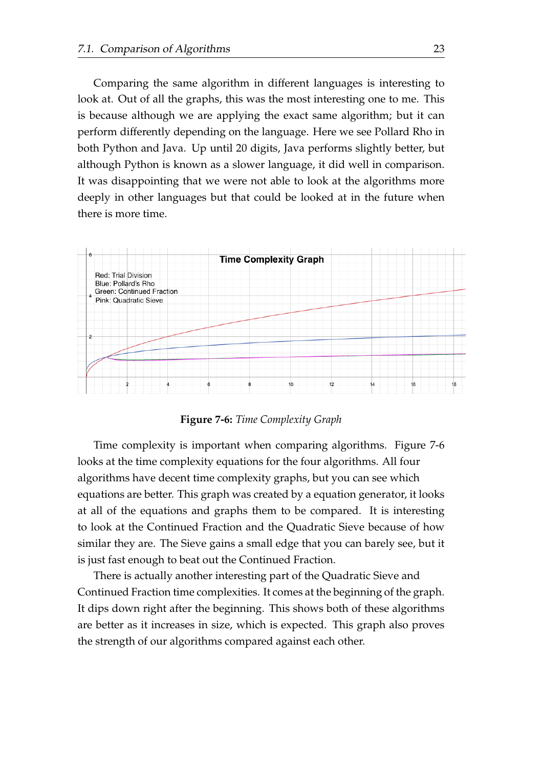Comparing the same algorithm in different languages is interesting to look at. Out of all the graphs, this was the most interesting one to me. This is because although we are applying the exact same algorithm; but it can perform differently depending on the language. Here we see Pollard Rho in both Python and Java. Up until 20 digits, Java performs slightly better, but although Python is known as a slower language, it did well in comparison. It was disappointing that we were not able to look at the algorithms more deeply in other languages but that could be looked at in the future when there is more time.



**Figure 7-6:** *Time Complexity Graph*

Time complexity is important when comparing algorithms. Figure 7-6 looks at the time complexity equations for the four algorithms. All four algorithms have decent time complexity graphs, but you can see which equations are better. This graph was created by a equation generator, it looks at all of the equations and graphs them to be compared. It is interesting to look at the Continued Fraction and the Quadratic Sieve because of how similar they are. The Sieve gains a small edge that you can barely see, but it is just fast enough to beat out the Continued Fraction.

There is actually another interesting part of the Quadratic Sieve and Continued Fraction time complexities. It comes at the beginning of the graph. It dips down right after the beginning. This shows both of these algorithms are better as it increases in size, which is expected. This graph also proves the strength of our algorithms compared against each other.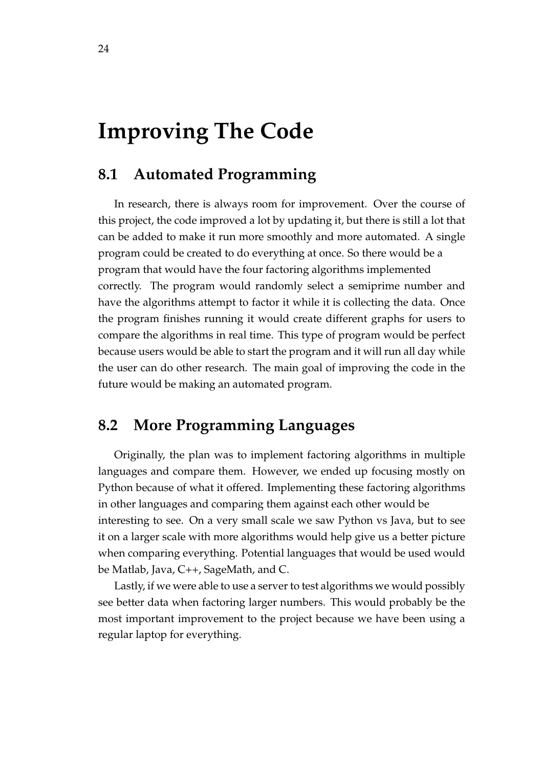## <span id="page-30-0"></span>**Improving The Code**

## <span id="page-30-1"></span>**8.1 Automated Programming**

In research, there is always room for improvement. Over the course of this project, the code improved a lot by updating it, but there is still a lot that can be added to make it run more smoothly and more automated. A single program could be created to do everything at once. So there would be a program that would have the four factoring algorithms implemented correctly. The program would randomly select a semiprime number and have the algorithms attempt to factor it while it is collecting the data. Once the program finishes running it would create different graphs for users to compare the algorithms in real time. This type of program would be perfect because users would be able to start the program and it will run all day while the user can do other research. The main goal of improving the code in the future would be making an automated program.

## <span id="page-30-2"></span>**8.2 More Programming Languages**

Originally, the plan was to implement factoring algorithms in multiple languages and compare them. However, we ended up focusing mostly on Python because of what it offered. Implementing these factoring algorithms in other languages and comparing them against each other would be interesting to see. On a very small scale we saw Python vs Java, but to see it on a larger scale with more algorithms would help give us a better picture when comparing everything. Potential languages that would be used would be Matlab, Java, C++, SageMath, and C.

Lastly, if we were able to use a server to test algorithms we would possibly see better data when factoring larger numbers. This would probably be the most important improvement to the project because we have been using a regular laptop for everything.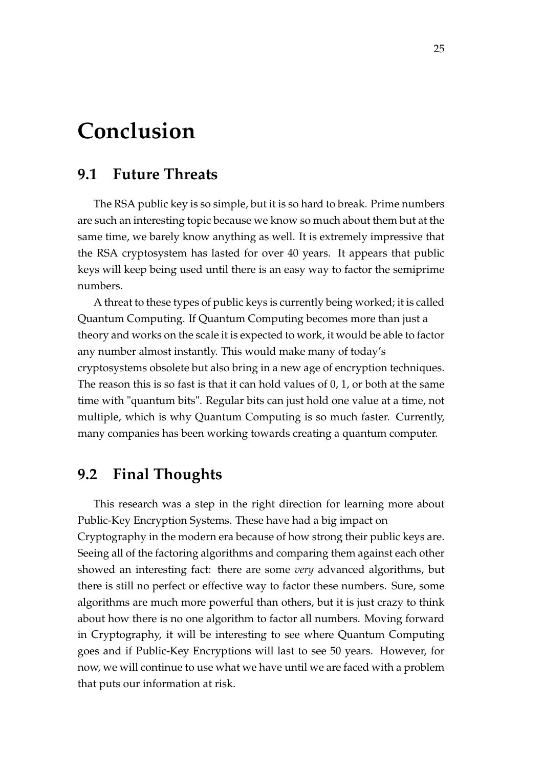## <span id="page-31-0"></span>**Conclusion**

### <span id="page-31-1"></span>**9.1 Future Threats**

The RSA public key is so simple, but it is so hard to break. Prime numbers are such an interesting topic because we know so much about them but at the same time, we barely know anything as well. It is extremely impressive that the RSA cryptosystem has lasted for over 40 years. It appears that public keys will keep being used until there is an easy way to factor the semiprime numbers.

A threat to these types of public keys is currently being worked; it is called Quantum Computing. If Quantum Computing becomes more than just a theory and works on the scale it is expected to work, it would be able to factor any number almost instantly. This would make many of today's cryptosystems obsolete but also bring in a new age of encryption techniques. The reason this is so fast is that it can hold values of 0, 1, or both at the same time with "quantum bits". Regular bits can just hold one value at a time, not multiple, which is why Quantum Computing is so much faster. Currently, many companies has been working towards creating a quantum computer.

### <span id="page-31-2"></span>**9.2 Final Thoughts**

This research was a step in the right direction for learning more about Public-Key Encryption Systems. These have had a big impact on Cryptography in the modern era because of how strong their public keys are. Seeing all of the factoring algorithms and comparing them against each other showed an interesting fact: there are some *very* advanced algorithms, but there is still no perfect or effective way to factor these numbers. Sure, some algorithms are much more powerful than others, but it is just crazy to think about how there is no one algorithm to factor all numbers. Moving forward in Cryptography, it will be interesting to see where Quantum Computing goes and if Public-Key Encryptions will last to see 50 years. However, for now, we will continue to use what we have until we are faced with a problem that puts our information at risk.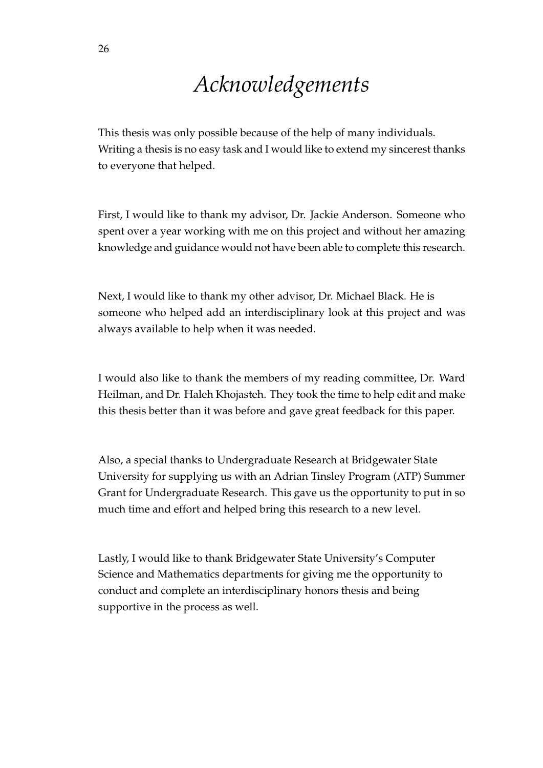## *Acknowledgements*

<span id="page-32-0"></span>This thesis was only possible because of the help of many individuals. Writing a thesis is no easy task and I would like to extend my sincerest thanks to everyone that helped.

First, I would like to thank my advisor, Dr. Jackie Anderson. Someone who spent over a year working with me on this project and without her amazing knowledge and guidance would not have been able to complete this research.

Next, I would like to thank my other advisor, Dr. Michael Black. He is someone who helped add an interdisciplinary look at this project and was always available to help when it was needed.

I would also like to thank the members of my reading committee, Dr. Ward Heilman, and Dr. Haleh Khojasteh. They took the time to help edit and make this thesis better than it was before and gave great feedback for this paper.

Also, a special thanks to Undergraduate Research at Bridgewater State University for supplying us with an Adrian Tinsley Program (ATP) Summer Grant for Undergraduate Research. This gave us the opportunity to put in so much time and effort and helped bring this research to a new level.

Lastly, I would like to thank Bridgewater State University's Computer Science and Mathematics departments for giving me the opportunity to conduct and complete an interdisciplinary honors thesis and being supportive in the process as well.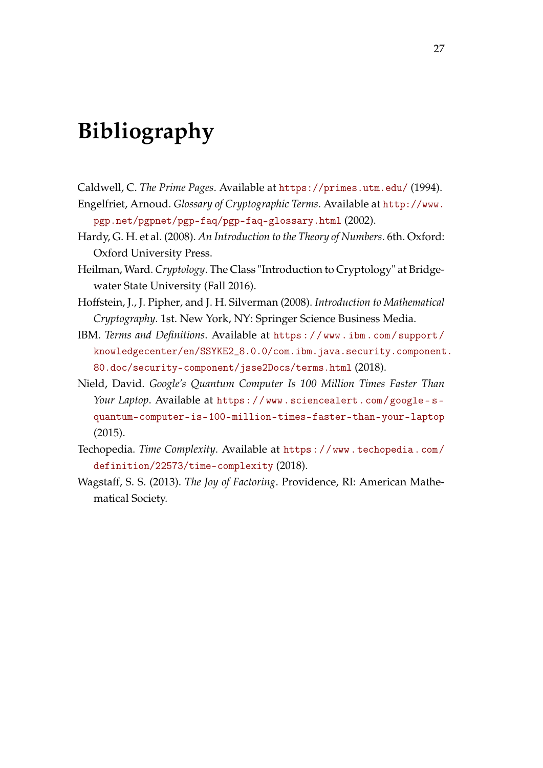## <span id="page-33-0"></span>**Bibliography**

- <span id="page-33-5"></span><span id="page-33-3"></span>Caldwell, C. *The Prime Pages*. Available at <https://primes.utm.edu/> (1994). Engelfriet, Arnoud. *Glossary of Cryptographic Terms*. Available at [http://www.](http://www.pgp.net/pgpnet/pgp-faq/pgp-faq-glossary.html)
- [pgp.net/pgpnet/pgp-faq/pgp-faq-glossary.html](http://www.pgp.net/pgpnet/pgp-faq/pgp-faq-glossary.html) (2002).
- <span id="page-33-9"></span>Hardy, G. H. et al. (2008). *An Introduction to the Theory of Numbers*. 6th. Oxford: Oxford University Press.
- <span id="page-33-6"></span>Heilman, Ward. *Cryptology*. The Class "Introduction to Cryptology" at Bridgewater State University (Fall 2016).
- <span id="page-33-7"></span>Hoffstein, J., J. Pipher, and J. H. Silverman (2008). *Introduction to Mathematical Cryptography*. 1st. New York, NY: Springer Science Business Media.
- <span id="page-33-1"></span>IBM. *Terms and Definitions*. Available at [https : / / www . ibm . com / support /](https://www.ibm.com/support/knowledgecenter/en/SSYKE2_8.0.0/com.ibm.java.security.component.80.doc/security-component/jsse2Docs/terms.html) [knowledgecenter/en/SSYKE2\\_8.0.0/com.ibm.java.security.component](https://www.ibm.com/support/knowledgecenter/en/SSYKE2_8.0.0/com.ibm.java.security.component.80.doc/security-component/jsse2Docs/terms.html). [80.doc/security-component/jsse2Docs/terms.html](https://www.ibm.com/support/knowledgecenter/en/SSYKE2_8.0.0/com.ibm.java.security.component.80.doc/security-component/jsse2Docs/terms.html) (2018).
- <span id="page-33-2"></span>Nield, David. *Google's Quantum Computer Is 100 Million Times Faster Than Your Laptop*. Available at [https://www.sciencealert.com/google- s](https://www.sciencealert.com/google-s-quantum-computer-is-100-million-times-faster-than-your-laptop)[quantum-computer-is-100-million-times-faster-than-your-laptop](https://www.sciencealert.com/google-s-quantum-computer-is-100-million-times-faster-than-your-laptop) (2015).
- <span id="page-33-4"></span>Techopedia. *Time Complexity*. Available at [https://www.techopedia.com/](https://www.techopedia.com/definition/22573/time-complexity) [definition/22573/time-complexity](https://www.techopedia.com/definition/22573/time-complexity) (2018).
- <span id="page-33-8"></span>Wagstaff, S. S. (2013). *The Joy of Factoring*. Providence, RI: American Mathematical Society.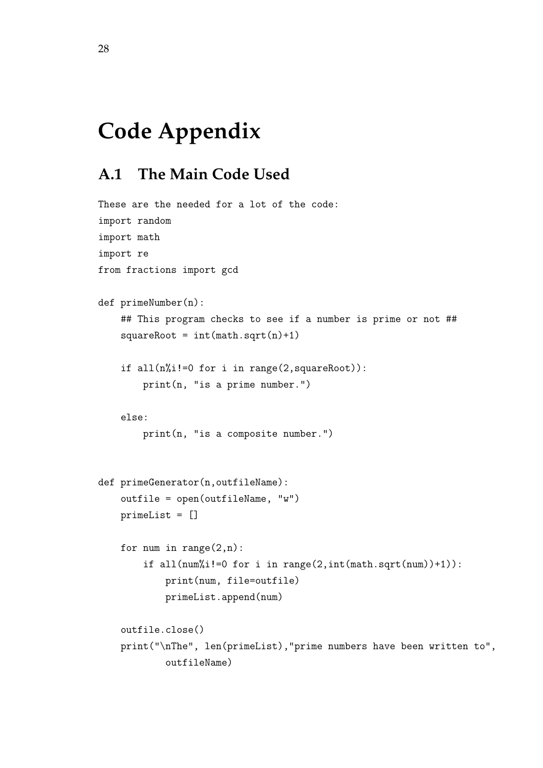## <span id="page-34-0"></span>**Code Appendix**

## <span id="page-34-1"></span>**A.1 The Main Code Used**

```
These are the needed for a lot of the code:
import random
import math
import re
from fractions import gcd
def primeNumber(n):
   ## This program checks to see if a number is prime or not ##
    squareRoot = int(math.sqrt(n)+1)if all(n%i!=0 for i in range(2,squareRoot)):
        print(n, "is a prime number.")
   else:
       print(n, "is a composite number.")
def primeGenerator(n,outfileName):
    outfile = open(outfileName, "w")
   primeList = []
   for num in range(2,n):
        if all(num%i!=0 for i in range(2,int(math.sqrt(num))+1)):
            print(num, file=outfile)
            primeList.append(num)
   outfile.close()
   print("\nThe", len(primeList),"prime numbers have been written to",
            outfileName)
```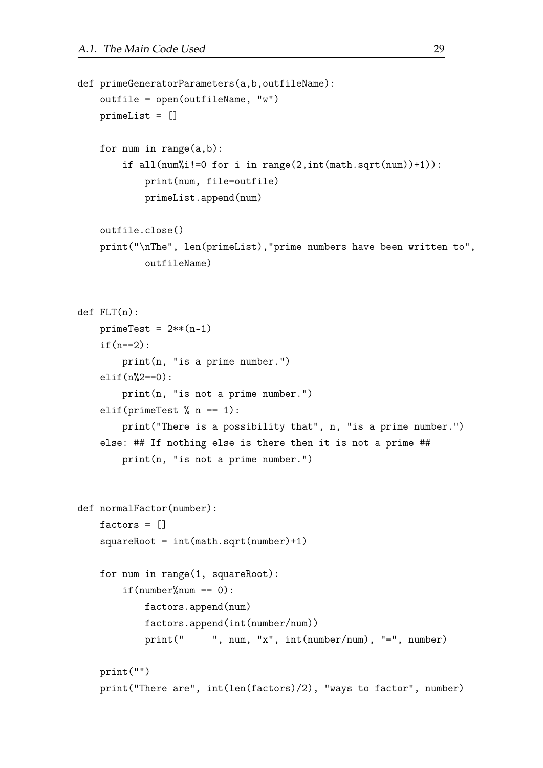```
def primeGeneratorParameters(a,b,outfileName):
    outfile = open(outfileName, "w")
    primeList = []
    for num in range(a,b):
        if all(num%i!=0 for i in range(2,int(math.sqrt(num))+1)):
            print(num, file=outfile)
            primeList.append(num)
    outfile.close()
    print("\nThe", len(primeList),"prime numbers have been written to",
            outfileName)
def FLT(n):
    prime = 2**(n-1)if(n==2):print(n, "is a prime number.")
    elif(n_{0}^{\prime\prime}(2==0)):
        print(n, "is not a prime number.")
    elif(primeTest \% n == 1):
        print("There is a possibility that", n, "is a prime number.")
    else: ## If nothing else is there then it is not a prime ##
        print(n, "is not a prime number.")
def normalFactor(number):
    factors = \BoxsquareRoot = int(math.sqrt(number)+1)for num in range(1, squareRoot):
        if(number%num == 0):
            factors.append(num)
            factors.append(int(number/num))
            print(" ", num, "x", int(number/num), "=", number)
    print("")
    print("There are", int(len(factors)/2), "ways to factor", number)
```